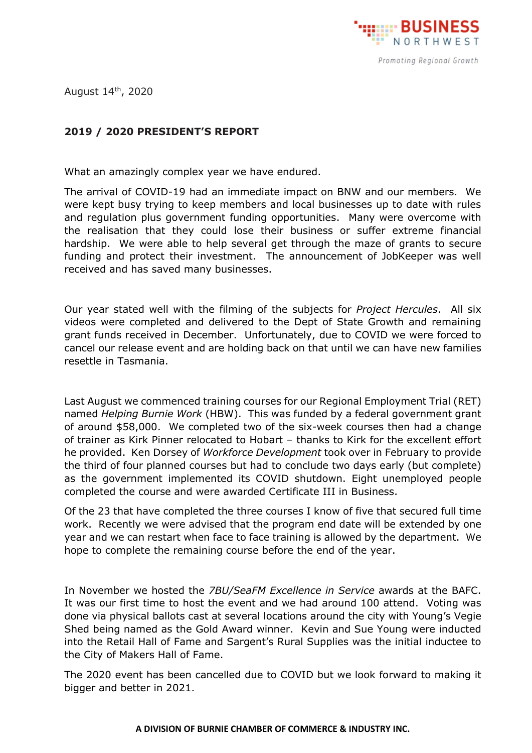

August 14<sup>th</sup>, 2020

## **2019 / 2020 PRESIDENT'S REPORT**

What an amazingly complex year we have endured.

The arrival of COVID-19 had an immediate impact on BNW and our members. We were kept busy trying to keep members and local businesses up to date with rules and regulation plus government funding opportunities. Many were overcome with the realisation that they could lose their business or suffer extreme financial hardship. We were able to help several get through the maze of grants to secure funding and protect their investment. The announcement of JobKeeper was well received and has saved many businesses.

Our year stated well with the filming of the subjects for *Project Hercules*. All six videos were completed and delivered to the Dept of State Growth and remaining grant funds received in December. Unfortunately, due to COVID we were forced to cancel our release event and are holding back on that until we can have new families resettle in Tasmania.

Last August we commenced training courses for our Regional Employment Trial (RET) named *Helping Burnie Work* (HBW). This was funded by a federal government grant of around \$58,000. We completed two of the six-week courses then had a change of trainer as Kirk Pinner relocated to Hobart – thanks to Kirk for the excellent effort he provided. Ken Dorsey of *Workforce Development* took over in February to provide the third of four planned courses but had to conclude two days early (but complete) as the government implemented its COVID shutdown. Eight unemployed people completed the course and were awarded Certificate III in Business.

Of the 23 that have completed the three courses I know of five that secured full time work. Recently we were advised that the program end date will be extended by one year and we can restart when face to face training is allowed by the department. We hope to complete the remaining course before the end of the year.

In November we hosted the *7BU/SeaFM Excellence in Service* awards at the BAFC. It was our first time to host the event and we had around 100 attend. Voting was done via physical ballots cast at several locations around the city with Young's Vegie Shed being named as the Gold Award winner. Kevin and Sue Young were inducted into the Retail Hall of Fame and Sargent's Rural Supplies was the initial inductee to the City of Makers Hall of Fame.

The 2020 event has been cancelled due to COVID but we look forward to making it bigger and better in 2021.